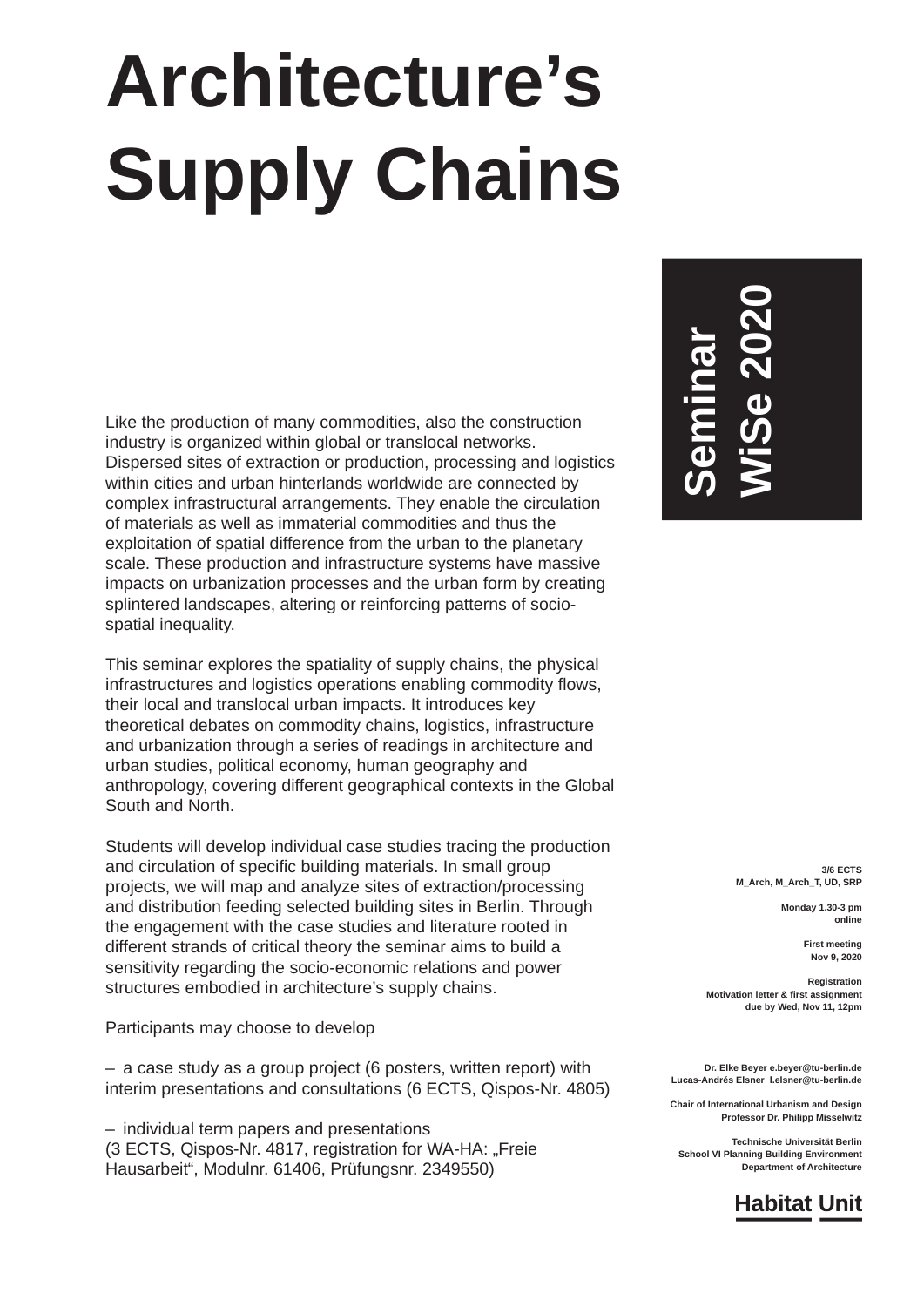# **Architecture's Supply Chains**

Like the production of many commodities, also the construction industry is organized within global or translocal networks. Dispersed sites of extraction or production, processing and logistics within cities and urban hinterlands worldwide are connected by complex infrastructural arrangements. They enable the circulation of materials as well as immaterial commodities and thus the exploitation of spatial difference from the urban to the planetary scale. These production and infrastructure systems have massive impacts on urbanization processes and the urban form by creating splintered landscapes, altering or reinforcing patterns of sociospatial inequality.

This seminar explores the spatiality of supply chains, the physical infrastructures and logistics operations enabling commodity flows, their local and translocal urban impacts. It introduces key theoretical debates on commodity chains, logistics, infrastructure and urbanization through a series of readings in architecture and urban studies, political economy, human geography and anthropology, covering different geographical contexts in the Global South and North.

Students will develop individual case studies tracing the production and circulation of specific building materials. In small group projects, we will map and analyze sites of extraction/processing and distribution feeding selected building sites in Berlin. Through the engagement with the case studies and literature rooted in different strands of critical theory the seminar aims to build a sensitivity regarding the socio-economic relations and power structures embodied in architecture's supply chains.

Participants may choose to develop

– a case study as a group project (6 posters, written report) with interim presentations and consultations (6 ECTS, Qispos-Nr. 4805)

– individual term papers and presentations (3 ECTS, Oispos-Nr. 4817, registration for WA-HA: "Freie Hausarbeit", Modulnr. 61406, Prüfungsnr. 2349550)

**Seminar WiSe 2020**

> **3/6 ECTS M\_Arch, M\_Arch\_T, UD, SRP**

> > **Monday 1.30-3 pm online**

> > > **First meeting Nov 9, 2020**

**Registration Motivation letter & first assignment due by Wed, Nov 11, 12pm**

**Dr. Elke Beyer e.beyer@tu-berlin.de Lucas-Andrés Elsner l.elsner@tu-berlin.de**

**Chair of International Urbanism and Design Professor Dr. Philipp Misselwitz**

**Technische Universität Berlin School VI Planning Building Environment Department of Architecture**

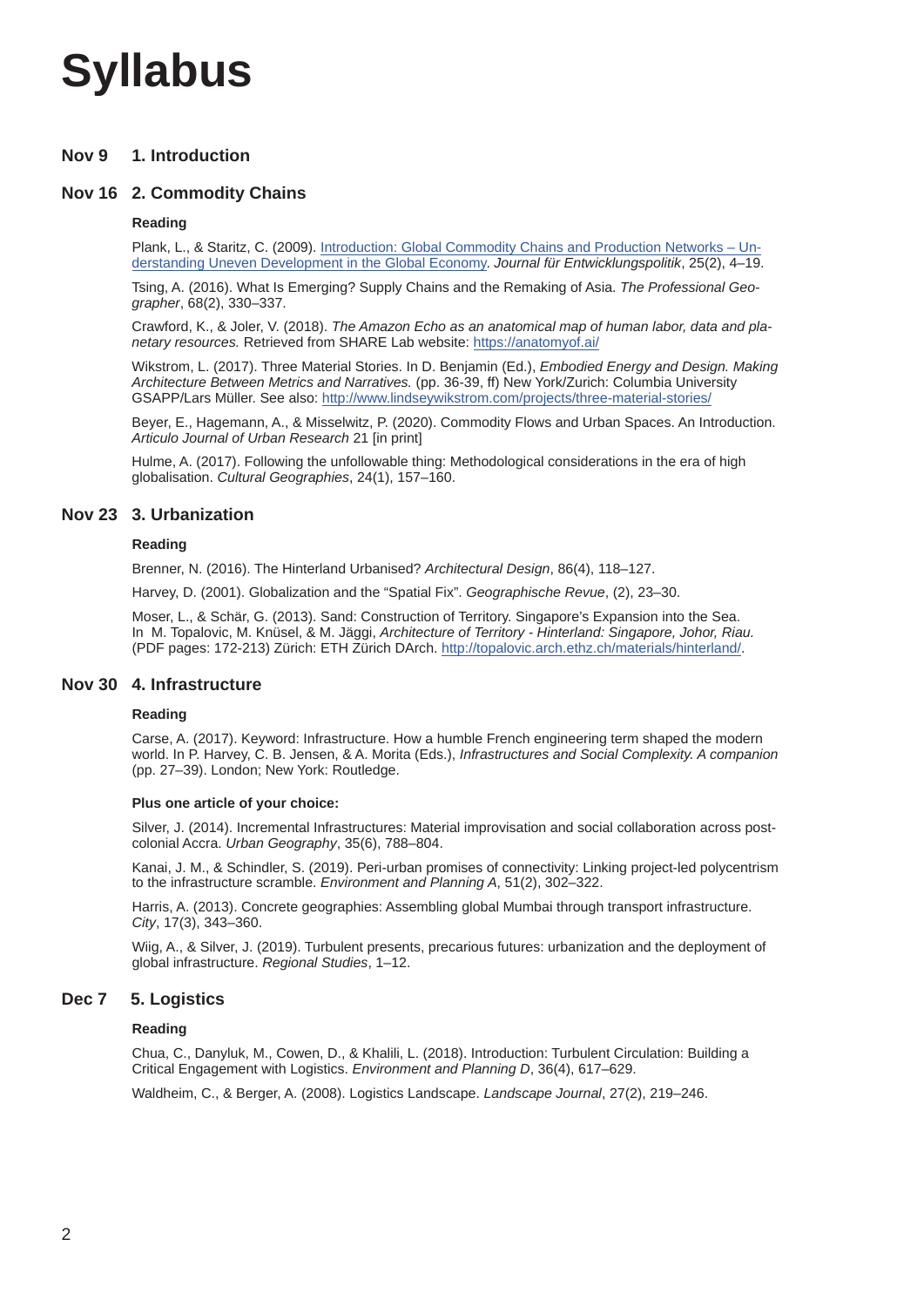# **Syllabus**

### **Nov 9 1. Introduction**

#### **Nov 16 2. Commodity Chains**

#### **Reading**

Plank, L., & Staritz, C. (2009). [Introduction: Global Commodity Chains and Production Networks – Un](https://www.mattersburgerkreis.at/dl/krllJMJKnMJqx4KooJK/JEP-2-2009_01_PLANK_STARITZ_Introduction-Global-Commodity-Chains-and-Production-Networks-Understanding-uneven-development-in-the-global-economy.pdf)[derstanding Uneven Development in the Global Economy.](https://www.mattersburgerkreis.at/dl/krllJMJKnMJqx4KooJK/JEP-2-2009_01_PLANK_STARITZ_Introduction-Global-Commodity-Chains-and-Production-Networks-Understanding-uneven-development-in-the-global-economy.pdf) *Journal für Entwicklungspolitik*, 25(2), 4–19.

Tsing, A. (2016). What Is Emerging? Supply Chains and the Remaking of Asia. *The Professional Geographer*, 68(2), 330–337.

Crawford, K., & Joler, V. (2018). *The Amazon Echo as an anatomical map of human labor, data and planetary resources.* Retrieved from SHARE Lab website:<https://anatomyof.ai/>

Wikstrom, L. (2017). Three Material Stories. In D. Benjamin (Ed.), *Embodied Energy and Design. Making Architecture Between Metrics and Narratives.* (pp. 36-39, ff) New York/Zurich: Columbia University GSAPP/Lars Müller. See also: [http://www.lindseywikstrom.com/projects/three-material-stories/](http://www.lindseywikstrom.com/projects/three-material-stories/%20)

Beyer, E., Hagemann, A., & Misselwitz, P. (2020). Commodity Flows and Urban Spaces. An Introduction. *Articulo Journal of Urban Research* 21 [in print]

Hulme, A. (2017). Following the unfollowable thing: Methodological considerations in the era of high globalisation. *Cultural Geographies*, 24(1), 157–160.

#### **Nov 23 3. Urbanization**

#### **Reading**

Brenner, N. (2016). The Hinterland Urbanised? *Architectural Design*, 86(4), 118–127.

Harvey, D. (2001). Globalization and the "Spatial Fix". *Geographische Revue*, (2), 23–30.

Moser, L., & Schär, G. (2013). Sand: Construction of Territory. Singapore's Expansion into the Sea. In M. Topalovic, M. Knüsel, & M. Jäggi, *Architecture of Territory - Hinterland: Singapore, Johor, Riau.* (PDF pages: 172-213) Zürich: ETH Zürich DArch. [http://topalovic.arch.ethz.ch/materials/hinterland/.](http://topalovic.arch.ethz.ch/materials/hinterland/)

#### **Nov 30 4. Infrastructure**

#### **Reading**

Carse, A. (2017). Keyword: Infrastructure. How a humble French engineering term shaped the modern world. In P. Harvey, C. B. Jensen, & A. Morita (Eds.), *Infrastructures and Social Complexity. A companion* (pp. 27–39). London; New York: Routledge.

#### **Plus one article of your choice:**

Silver, J. (2014). Incremental Infrastructures: Material improvisation and social collaboration across postcolonial Accra. *Urban Geography*, 35(6), 788–804.

Kanai, J. M., & Schindler, S. (2019). Peri-urban promises of connectivity: Linking project-led polycentrism to the infrastructure scramble. *Environment and Planning A*, 51(2), 302–322.

Harris, A. (2013). Concrete geographies: Assembling global Mumbai through transport infrastructure. *City*, 17(3), 343–360.

Wiig, A., & Silver, J. (2019). Turbulent presents, precarious futures: urbanization and the deployment of global infrastructure. *Regional Studies*, 1–12.

#### **Dec 7 5. Logistics**

#### **Reading**

Chua, C., Danyluk, M., Cowen, D., & Khalili, L. (2018). Introduction: Turbulent Circulation: Building a Critical Engagement with Logistics. *Environment and Planning D*, 36(4), 617–629.

Waldheim, C., & Berger, A. (2008). Logistics Landscape. *Landscape Journal*, 27(2), 219–246.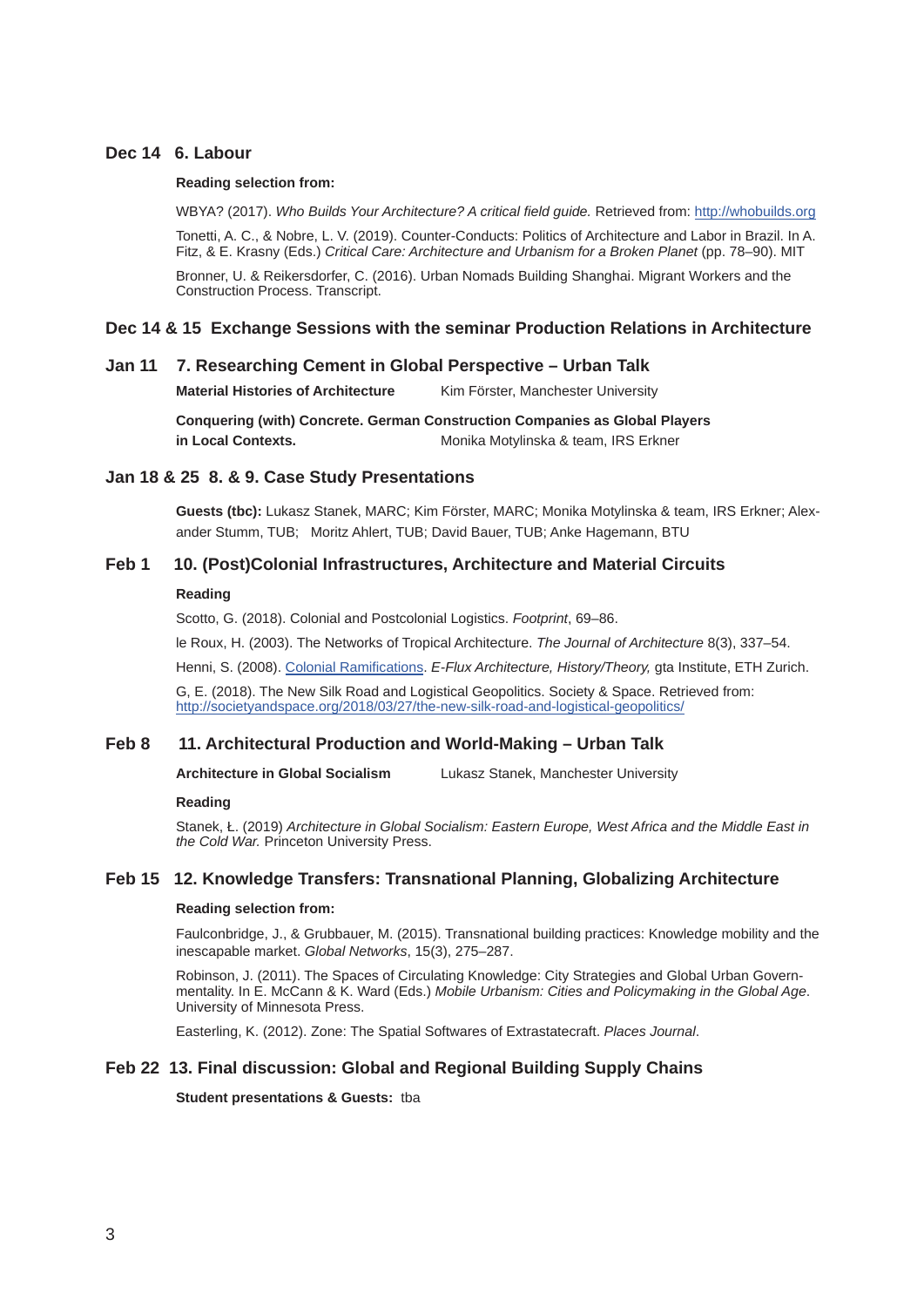### **Dec 14 6. Labour**

#### **Reading selection from:**

WBYA? (2017). *Who Builds Your Architecture? A critical field guide.* Retrieved from: [http://whobuilds.org](http://whobuilds.org%20)

Tonetti, A. C., & Nobre, L. V. (2019). Counter-Conducts: Politics of Architecture and Labor in Brazil. In A. Fitz, & E. Krasny (Eds.) *Critical Care: Architecture and Urbanism for a Broken Planet* (pp. 78–90). MIT

Bronner, U. & Reikersdorfer, C. (2016). Urban Nomads Building Shanghai. Migrant Workers and the Construction Process. Transcript.

### **Dec 14 & 15 Exchange Sessions with the seminar Production Relations in Architecture**

#### **Jan 11 7. Researching Cement in Global Perspective – Urban Talk**

**Material Histories of Architecture** Kim Förster, Manchester University

**Conquering (with) Concrete. German Construction Companies as Global Players in Local Contexts. Monika Motylinska & team, IRS Erkner** 

#### **Jan 18 & 25 8. & 9. Case Study Presentations**

**Guests (tbc):** Lukasz Stanek, MARC; Kim Förster, MARC; Monika Motylinska & team, IRS Erkner; Alexander Stumm, TUB; Moritz Ahlert, TUB; David Bauer, TUB; Anke Hagemann, BTU

#### **Feb 1 10. (Post)Colonial Infrastructures, Architecture and Material Circuits**

#### **Reading**

Scotto, G. (2018). Colonial and Postcolonial Logistics. *Footprint*, 69–86. le Roux, H. (2003). The Networks of Tropical Architecture. *The Journal of Architecture* 8(3), 337–54. Henni, S. (2008). [Colonial Ramifications](https://www.e-flux.com/architecture/history-theory/225180/colonial-ramifications/). *E-Flux Architecture, History/Theory,* gta Institute, ETH Zurich. G, E. (2018). The New Silk Road and Logistical Geopolitics. Society & Space. Retrieved from: <http://societyandspace.org/2018/03/27/the-new-silk-road-and-logistical-geopolitics/>

#### **Feb 8 11. Architectural Production and World-Making – Urban Talk**

**Architecture in Global Socialism** Lukasz Stanek, Manchester University

#### **Reading**

Stanek, Ł. (2019) *Architecture in Global Socialism: Eastern Europe, West Africa and the Middle East in the Cold War.* Princeton University Press.

#### **Feb 15 12. Knowledge Transfers: Transnational Planning, Globalizing Architecture**

#### **Reading selection from:**

Faulconbridge, J., & Grubbauer, M. (2015). Transnational building practices: Knowledge mobility and the inescapable market. *Global Networks*, 15(3), 275–287.

Robinson, J. (2011). The Spaces of Circulating Knowledge: City Strategies and Global Urban Governmentality. In E. McCann & K. Ward (Eds.) *Mobile Urbanism: Cities and Policymaking in the Global Age*. University of Minnesota Press.

Easterling, K. (2012). Zone: The Spatial Softwares of Extrastatecraft. *Places Journal*.

#### **Feb 22 13. Final discussion: Global and Regional Building Supply Chains**

**Student presentations & Guests:** tba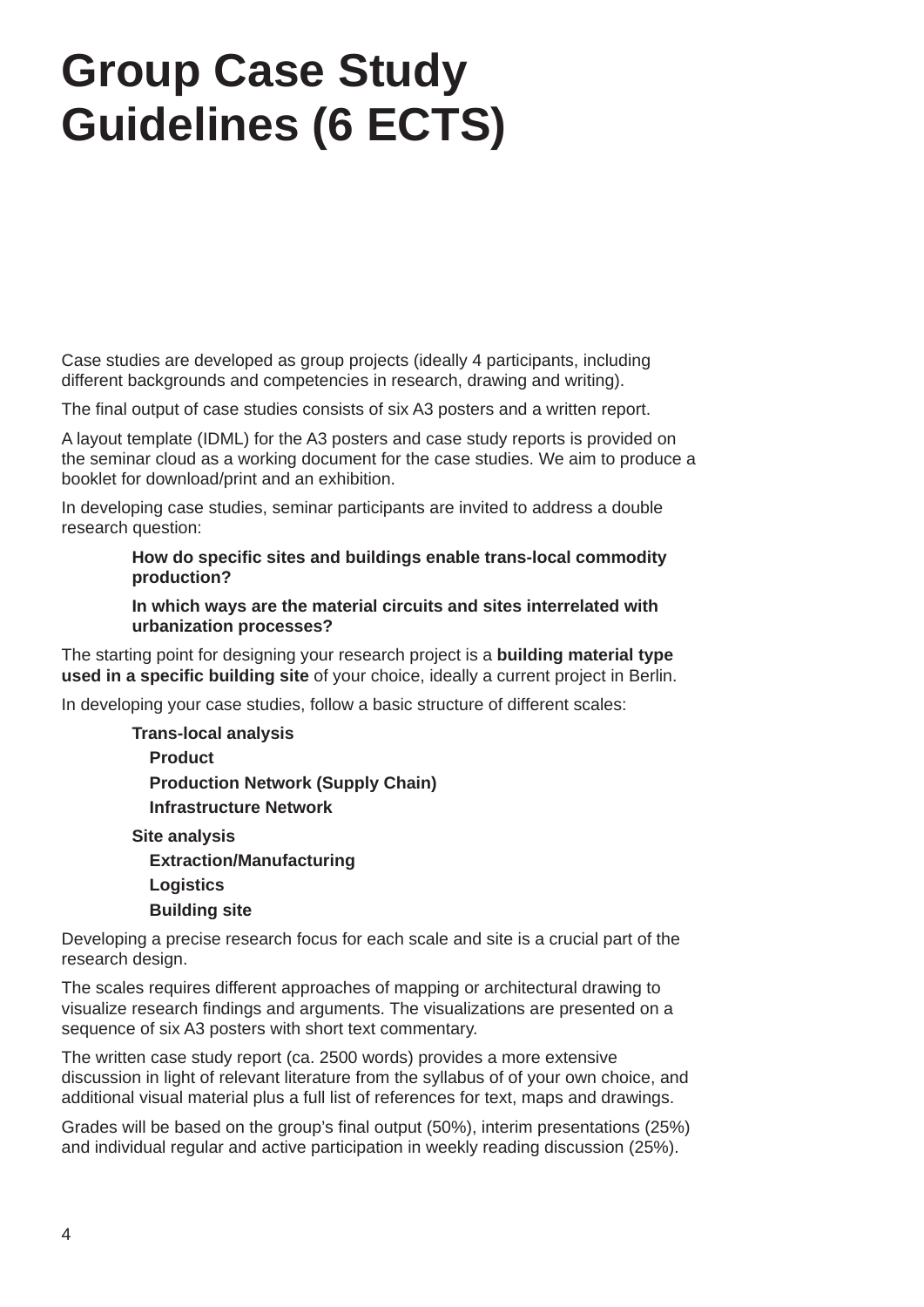# **Group Case Study Guidelines (6 ECTS)**

Case studies are developed as group projects (ideally 4 participants, including different backgrounds and competencies in research, drawing and writing).

The final output of case studies consists of six A3 posters and a written report.

A layout template (IDML) for the A3 posters and case study reports is provided on the seminar cloud as a working document for the case studies. We aim to produce a booklet for download/print and an exhibition.

In developing case studies, seminar participants are invited to address a double research question:

### **How do specific sites and buildings enable trans-local commodity production?**

**In which ways are the material circuits and sites interrelated with urbanization processes?** 

The starting point for designing your research project is a **building material type used in a specific building site** of your choice, ideally a current project in Berlin.

In developing your case studies, follow a basic structure of different scales:

| <b>Trans-local analysis</b>              |
|------------------------------------------|
| <b>Product</b>                           |
| <b>Production Network (Supply Chain)</b> |
| Infrastructure Network                   |
| <b>Site analysis</b>                     |
| <b>Extraction/Manufacturing</b>          |
| Logistics                                |
| <b>Building site</b>                     |

Developing a precise research focus for each scale and site is a crucial part of the research design.

The scales requires different approaches of mapping or architectural drawing to visualize research findings and arguments. The visualizations are presented on a sequence of six A3 posters with short text commentary.

The written case study report (ca. 2500 words) provides a more extensive discussion in light of relevant literature from the syllabus of of your own choice, and additional visual material plus a full list of references for text, maps and drawings.

Grades will be based on the group's final output (50%), interim presentations (25%) and individual regular and active participation in weekly reading discussion (25%).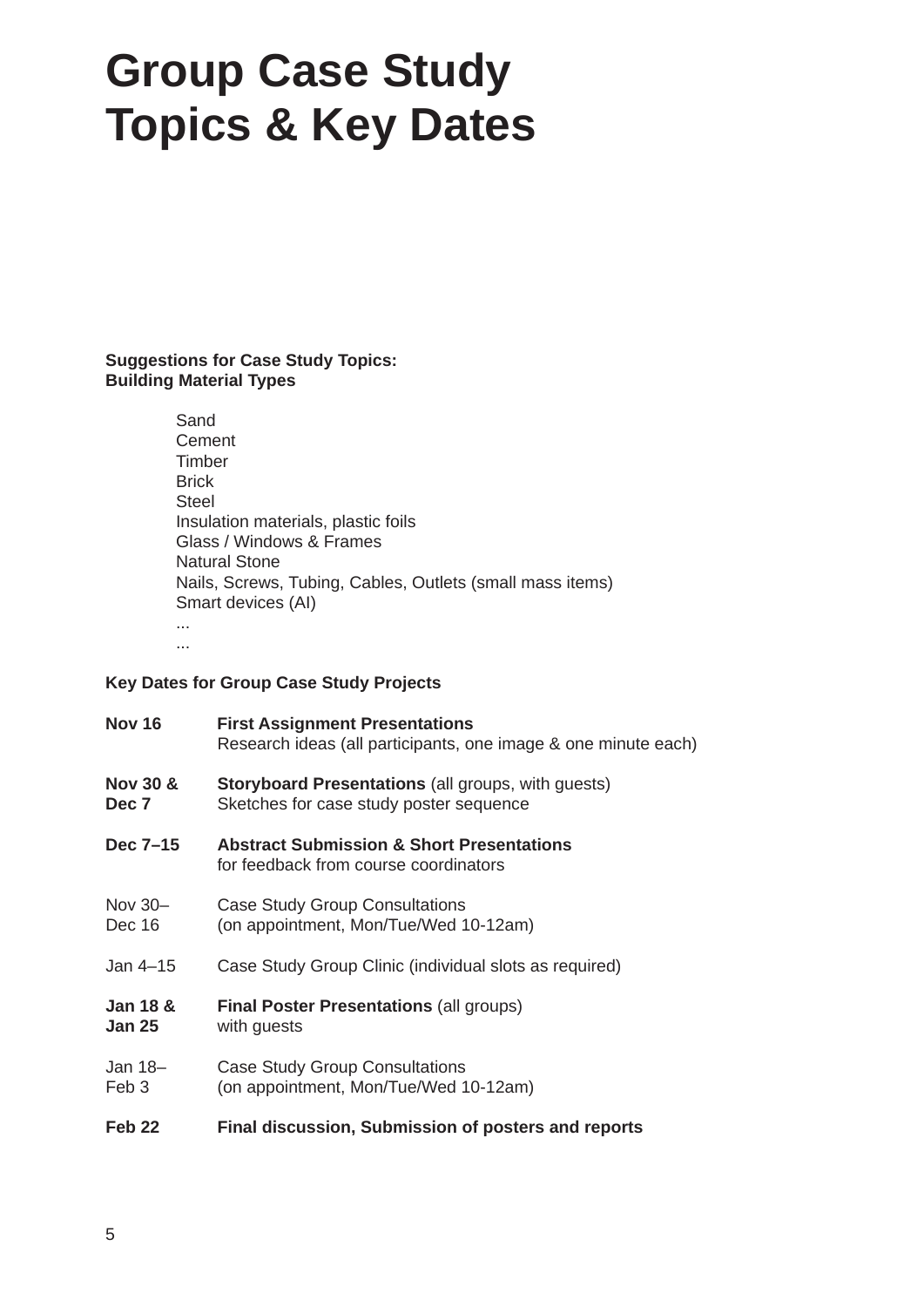# **Group Case Study Topics & Key Dates**

# **Suggestions for Case Study Topics: Building Material Types**

| Sand                                                      |
|-----------------------------------------------------------|
| Cement                                                    |
|                                                           |
| Timber                                                    |
| <b>Brick</b>                                              |
| Steel                                                     |
| Insulation materials, plastic foils                       |
| Glass / Windows & Frames                                  |
| Natural Stone                                             |
| Nails, Screws, Tubing, Cables, Outlets (small mass items) |
| Smart devices (AI)                                        |
|                                                           |

# **Key Dates for Group Case Study Projects**

...

| <b>Nov 16</b> | <b>First Assignment Presentations</b><br>Research ideas (all participants, one image & one minute each) |  |  |
|---------------|---------------------------------------------------------------------------------------------------------|--|--|
| Nov 30 &      | <b>Storyboard Presentations (all groups, with guests)</b>                                               |  |  |
| Dec 7         | Sketches for case study poster sequence                                                                 |  |  |
| Dec 7-15      | <b>Abstract Submission &amp; Short Presentations</b><br>for feedback from course coordinators           |  |  |
| Nov 30-       | <b>Case Study Group Consultations</b>                                                                   |  |  |
| Dec 16        | (on appointment, Mon/Tue/Wed 10-12am)                                                                   |  |  |
| Jan $4-15$    | Case Study Group Clinic (individual slots as required)                                                  |  |  |
| Jan 18 &      | <b>Final Poster Presentations (all groups)</b>                                                          |  |  |
| <b>Jan 25</b> | with guests                                                                                             |  |  |
| Jan 18-       | Case Study Group Consultations                                                                          |  |  |
| Feb 3         | (on appointment, Mon/Tue/Wed 10-12am)                                                                   |  |  |
| Feb 22        | Final discussion, Submission of posters and reports                                                     |  |  |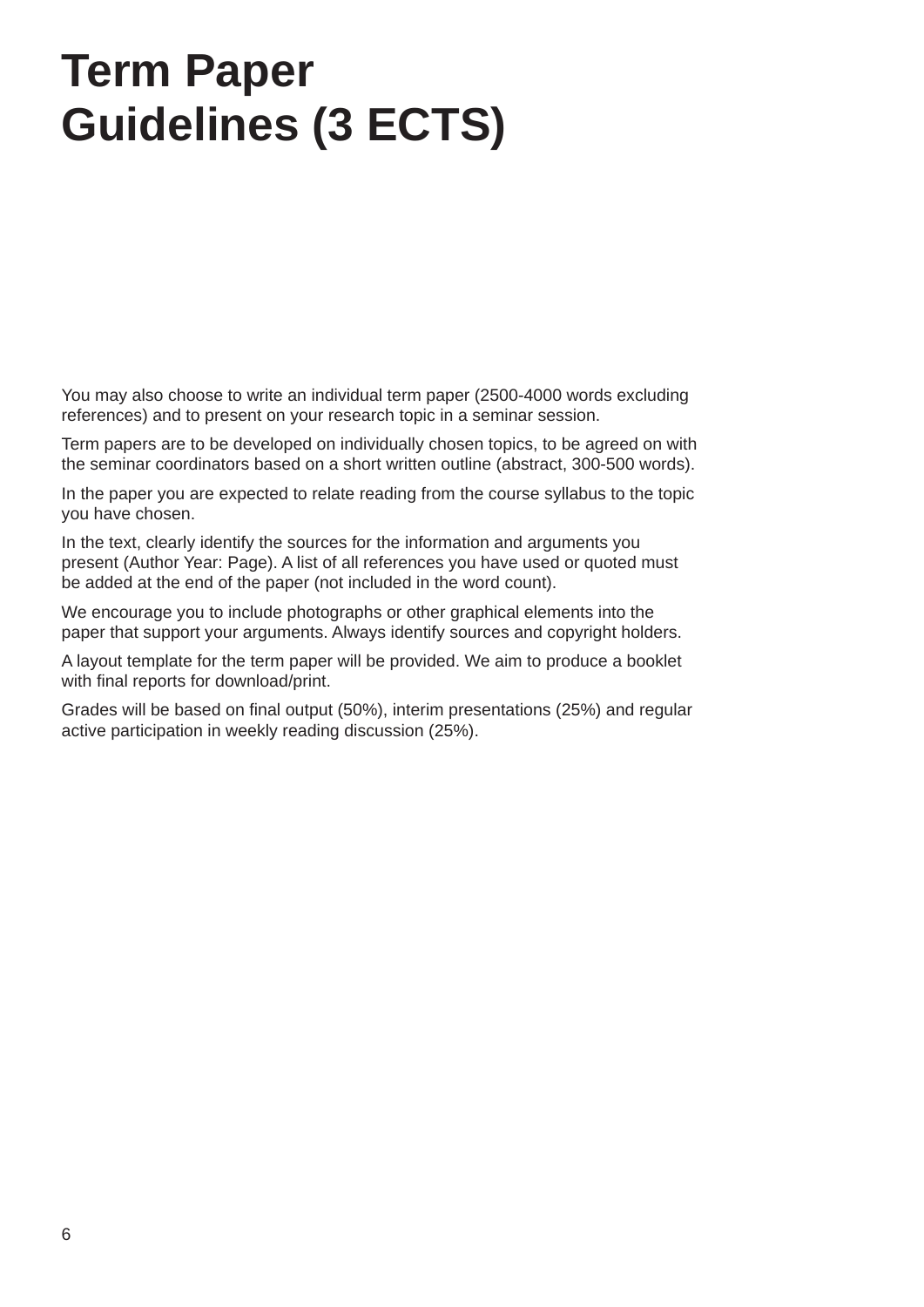# **Term Paper Guidelines (3 ECTS)**

You may also choose to write an individual term paper (2500-4000 words excluding references) and to present on your research topic in a seminar session.

Term papers are to be developed on individually chosen topics, to be agreed on with the seminar coordinators based on a short written outline (abstract, 300-500 words).

In the paper you are expected to relate reading from the course syllabus to the topic you have chosen.

In the text, clearly identify the sources for the information and arguments you present (Author Year: Page). A list of all references you have used or quoted must be added at the end of the paper (not included in the word count).

We encourage you to include photographs or other graphical elements into the paper that support your arguments. Always identify sources and copyright holders.

A layout template for the term paper will be provided. We aim to produce a booklet with final reports for download/print.

Grades will be based on final output (50%), interim presentations (25%) and regular active participation in weekly reading discussion (25%).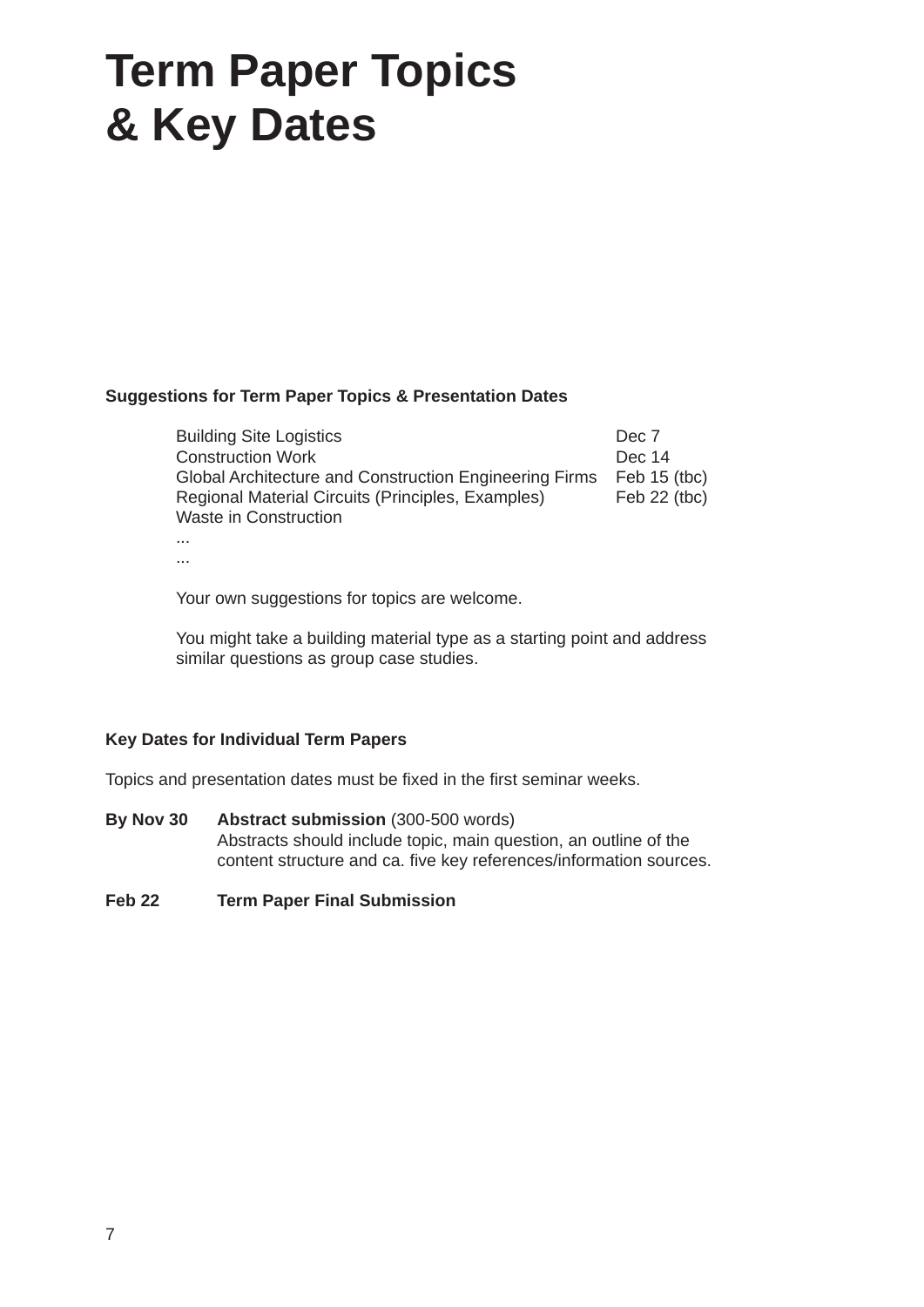# **Term Paper Topics & Key Dates**

### **Suggestions for Term Paper Topics & Presentation Dates**

| <b>Building Site Logistics</b>                         | Dec 7          |
|--------------------------------------------------------|----------------|
| <b>Construction Work</b>                               | Dec 14         |
| Global Architecture and Construction Engineering Firms | Feb $15$ (tbc) |
| Regional Material Circuits (Principles, Examples)      | Feb $22$ (tbc) |
| Waste in Construction                                  |                |
|                                                        |                |

...

Your own suggestions for topics are welcome.

You might take a building material type as a starting point and address similar questions as group case studies.

## **Key Dates for Individual Term Papers**

Topics and presentation dates must be fixed in the first seminar weeks.

- **By Nov 30 Abstract submission** (300-500 words) Abstracts should include topic, main question, an outline of the content structure and ca. five key references/information sources.
- **Feb 22 Term Paper Final Submission**